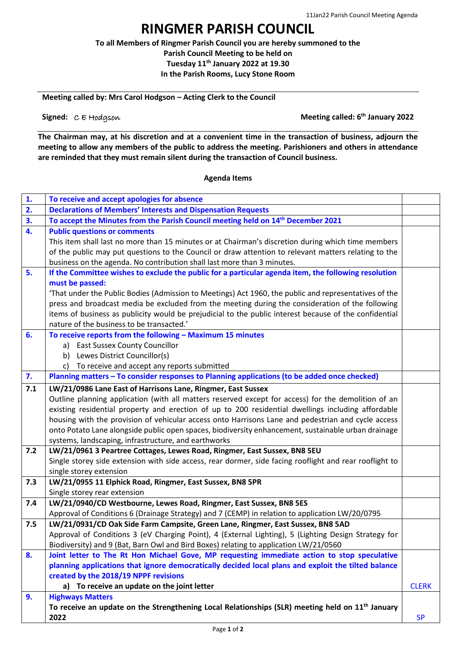## **RINGMER PARISH COUNCIL**

**To all Members of Ringmer Parish Council you are hereby summoned to the Parish Council Meeting to be held on Tuesday 11 th January 2022 at 19.30 In the Parish Rooms, Lucy Stone Room**

**Meeting called by: Mrs Carol Hodgson – Acting Clerk to the Council**

**Signed:**  $C \in H$ odgson

**Meeting called: 6<sup>th</sup> January 2022** 

**The Chairman may, at his discretion and at a convenient time in the transaction of business, adjourn the meeting to allow any members of the public to address the meeting. Parishioners and others in attendance are reminded that they must remain silent during the transaction of Council business.**

## **Agenda Items**

| 1.  | To receive and accept apologies for absence                                                             |              |
|-----|---------------------------------------------------------------------------------------------------------|--------------|
| 2.  | <b>Declarations of Members' Interests and Dispensation Requests</b>                                     |              |
| 3.  | To accept the Minutes from the Parish Council meeting held on 14 <sup>th</sup> December 2021            |              |
| 4.  | <b>Public questions or comments</b>                                                                     |              |
|     | This item shall last no more than 15 minutes or at Chairman's discretion during which time members      |              |
|     | of the public may put questions to the Council or draw attention to relevant matters relating to the    |              |
|     | business on the agenda. No contribution shall last more than 3 minutes.                                 |              |
| 5.  | If the Committee wishes to exclude the public for a particular agenda item, the following resolution    |              |
|     | must be passed:                                                                                         |              |
|     | 'That under the Public Bodies (Admission to Meetings) Act 1960, the public and representatives of the   |              |
|     | press and broadcast media be excluded from the meeting during the consideration of the following        |              |
|     | items of business as publicity would be prejudicial to the public interest because of the confidential  |              |
|     | nature of the business to be transacted.'                                                               |              |
| 6.  | To receive reports from the following - Maximum 15 minutes                                              |              |
|     | a) East Sussex County Councillor                                                                        |              |
|     | b) Lewes District Councillor(s)                                                                         |              |
|     | c) To receive and accept any reports submitted                                                          |              |
| 7.  | Planning matters - To consider responses to Planning applications (to be added once checked)            |              |
| 7.1 | LW/21/0986 Lane East of Harrisons Lane, Ringmer, East Sussex                                            |              |
|     | Outline planning application (with all matters reserved except for access) for the demolition of an     |              |
|     | existing residential property and erection of up to 200 residential dwellings including affordable      |              |
|     | housing with the provision of vehicular access onto Harrisons Lane and pedestrian and cycle access      |              |
|     | onto Potato Lane alongside public open spaces, biodiversity enhancement, sustainable urban drainage     |              |
|     | systems, landscaping, infrastructure, and earthworks                                                    |              |
| 7.2 | LW/21/0961 3 Peartree Cottages, Lewes Road, Ringmer, East Sussex, BN8 5EU                               |              |
|     | Single storey side extension with side access, rear dormer, side facing rooflight and rear rooflight to |              |
|     | single storey extension                                                                                 |              |
| 7.3 | LW/21/0955 11 Elphick Road, Ringmer, East Sussex, BN8 5PR                                               |              |
|     | Single storey rear extension                                                                            |              |
| 7.4 | LW/21/0940/CD Westbourne, Lewes Road, Ringmer, East Sussex, BN8 5ES                                     |              |
|     | Approval of Conditions 6 (Drainage Strategy) and 7 (CEMP) in relation to application LW/20/0795         |              |
| 7.5 | LW/21/0931/CD Oak Side Farm Campsite, Green Lane, Ringmer, East Sussex, BN8 5AD                         |              |
|     | Approval of Conditions 3 (eV Charging Point), 4 (External Lighting), 5 (Lighting Design Strategy for    |              |
|     | Biodiversity) and 9 (Bat, Barn Owl and Bird Boxes) relating to application LW/21/0560                   |              |
| 8.  | Joint letter to The Rt Hon Michael Gove, MP requesting immediate action to stop speculative             |              |
|     | planning applications that ignore democratically decided local plans and exploit the tilted balance     |              |
|     | created by the 2018/19 NPPF revisions                                                                   |              |
|     | a) To receive an update on the joint letter                                                             | <b>CLERK</b> |
| 9.  | <b>Highways Matters</b>                                                                                 |              |
|     | To receive an update on the Strengthening Local Relationships (SLR) meeting held on $11th$ January      |              |
|     | 2022                                                                                                    | <b>SP</b>    |